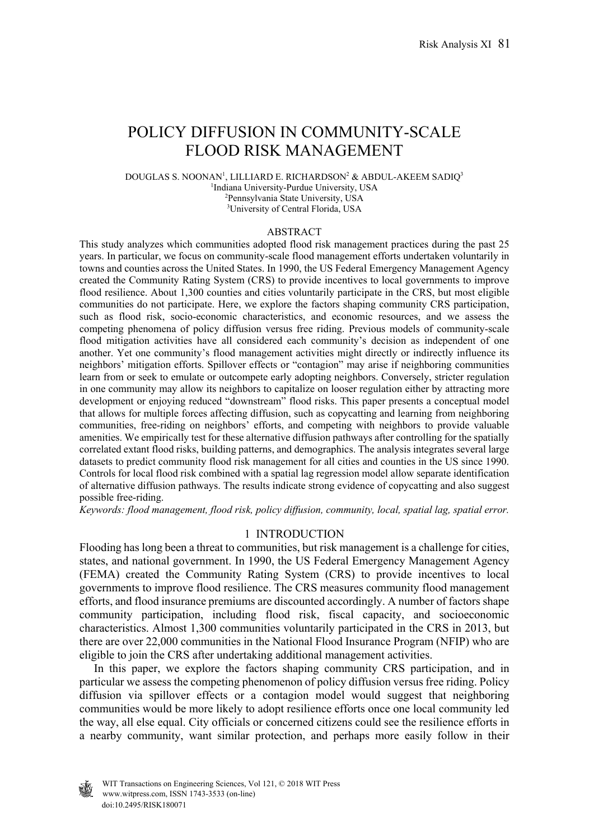# POLICY DIFFUSION IN COMMUNITY-SCALE FLOOD RISK MANAGEMENT

DOUGLAS S. NOONAN<sup>1</sup>, LILLIARD E. RICHARDSON<sup>2</sup> & ABDUL-AKEEM SADIQ<sup>3</sup> <sup>1</sup>Indiana University-Purdue University, USA<br><sup>2</sup>Pennsylvania State University, USA <sup>2</sup>Pennsylvania State University, USA 3 University of Central Florida, USA

#### ABSTRACT

This study analyzes which communities adopted flood risk management practices during the past 25 years. In particular, we focus on community-scale flood management efforts undertaken voluntarily in towns and counties across the United States. In 1990, the US Federal Emergency Management Agency created the Community Rating System (CRS) to provide incentives to local governments to improve flood resilience. About 1,300 counties and cities voluntarily participate in the CRS, but most eligible communities do not participate. Here, we explore the factors shaping community CRS participation, such as flood risk, socio-economic characteristics, and economic resources, and we assess the competing phenomena of policy diffusion versus free riding. Previous models of community-scale flood mitigation activities have all considered each community's decision as independent of one another. Yet one community's flood management activities might directly or indirectly influence its neighbors' mitigation efforts. Spillover effects or "contagion" may arise if neighboring communities learn from or seek to emulate or outcompete early adopting neighbors. Conversely, stricter regulation in one community may allow its neighbors to capitalize on looser regulation either by attracting more development or enjoying reduced "downstream" flood risks. This paper presents a conceptual model that allows for multiple forces affecting diffusion, such as copycatting and learning from neighboring communities, free-riding on neighbors' efforts, and competing with neighbors to provide valuable amenities. We empirically test for these alternative diffusion pathways after controlling for the spatially correlated extant flood risks, building patterns, and demographics. The analysis integrates several large datasets to predict community flood risk management for all cities and counties in the US since 1990. Controls for local flood risk combined with a spatial lag regression model allow separate identification of alternative diffusion pathways. The results indicate strong evidence of copycatting and also suggest possible free-riding.

*Keywords: flood management, flood risk, policy diffusion, community, local, spatial lag, spatial error.* 

## 1 INTRODUCTION

Flooding has long been a threat to communities, but risk management is a challenge for cities, states, and national government. In 1990, the US Federal Emergency Management Agency (FEMA) created the Community Rating System (CRS) to provide incentives to local governments to improve flood resilience. The CRS measures community flood management efforts, and flood insurance premiums are discounted accordingly. A number of factors shape community participation, including flood risk, fiscal capacity, and socioeconomic characteristics. Almost 1,300 communities voluntarily participated in the CRS in 2013, but there are over 22,000 communities in the National Flood Insurance Program (NFIP) who are eligible to join the CRS after undertaking additional management activities.

 In this paper, we explore the factors shaping community CRS participation, and in particular we assess the competing phenomenon of policy diffusion versus free riding. Policy diffusion via spillover effects or a contagion model would suggest that neighboring communities would be more likely to adopt resilience efforts once one local community led the way, all else equal. City officials or concerned citizens could see the resilience efforts in a nearby community, want similar protection, and perhaps more easily follow in their

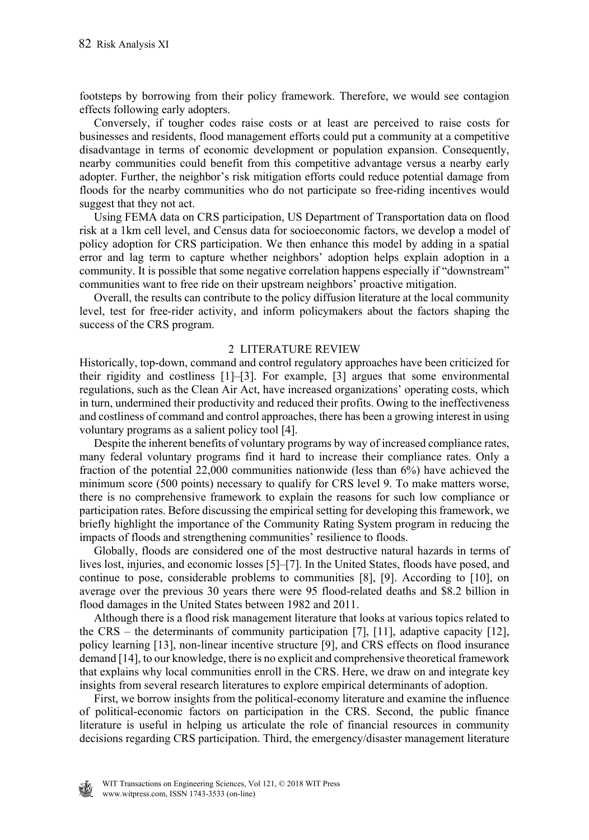footsteps by borrowing from their policy framework. Therefore, we would see contagion effects following early adopters.

 Conversely, if tougher codes raise costs or at least are perceived to raise costs for businesses and residents, flood management efforts could put a community at a competitive disadvantage in terms of economic development or population expansion. Consequently, nearby communities could benefit from this competitive advantage versus a nearby early adopter. Further, the neighbor's risk mitigation efforts could reduce potential damage from floods for the nearby communities who do not participate so free-riding incentives would suggest that they not act.

 Using FEMA data on CRS participation, US Department of Transportation data on flood risk at a 1km cell level, and Census data for socioeconomic factors, we develop a model of policy adoption for CRS participation. We then enhance this model by adding in a spatial error and lag term to capture whether neighbors' adoption helps explain adoption in a community. It is possible that some negative correlation happens especially if "downstream" communities want to free ride on their upstream neighbors' proactive mitigation.

 Overall, the results can contribute to the policy diffusion literature at the local community level, test for free-rider activity, and inform policymakers about the factors shaping the success of the CRS program.

## 2 LITERATURE REVIEW

Historically, top-down, command and control regulatory approaches have been criticized for their rigidity and costliness [1]–[3]. For example, [3] argues that some environmental regulations, such as the Clean Air Act, have increased organizations' operating costs, which in turn, undermined their productivity and reduced their profits. Owing to the ineffectiveness and costliness of command and control approaches, there has been a growing interest in using voluntary programs as a salient policy tool [4].

 Despite the inherent benefits of voluntary programs by way of increased compliance rates, many federal voluntary programs find it hard to increase their compliance rates. Only a fraction of the potential 22,000 communities nationwide (less than 6%) have achieved the minimum score (500 points) necessary to qualify for CRS level 9. To make matters worse, there is no comprehensive framework to explain the reasons for such low compliance or participation rates. Before discussing the empirical setting for developing this framework, we briefly highlight the importance of the Community Rating System program in reducing the impacts of floods and strengthening communities' resilience to floods.

 Globally, floods are considered one of the most destructive natural hazards in terms of lives lost, injuries, and economic losses [5]–[7]. In the United States, floods have posed, and continue to pose, considerable problems to communities [8], [9]. According to [10], on average over the previous 30 years there were 95 flood-related deaths and \$8.2 billion in flood damages in the United States between 1982 and 2011.

 Although there is a flood risk management literature that looks at various topics related to the CRS – the determinants of community participation [7], [11], adaptive capacity [12], policy learning [13], non-linear incentive structure [9], and CRS effects on flood insurance demand [14], to our knowledge, there is no explicit and comprehensive theoretical framework that explains why local communities enroll in the CRS. Here, we draw on and integrate key insights from several research literatures to explore empirical determinants of adoption.

 First, we borrow insights from the political-economy literature and examine the influence of political-economic factors on participation in the CRS. Second, the public finance literature is useful in helping us articulate the role of financial resources in community decisions regarding CRS participation. Third, the emergency/disaster management literature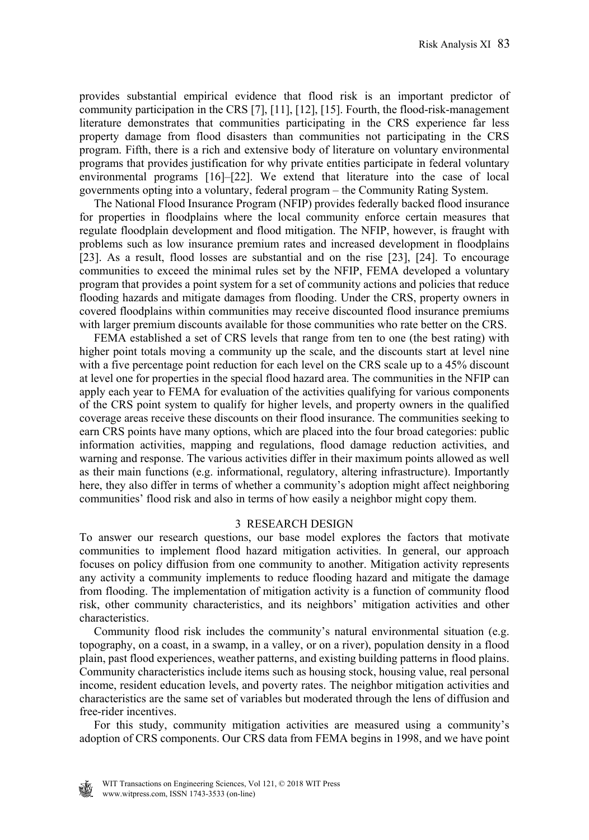provides substantial empirical evidence that flood risk is an important predictor of community participation in the CRS [7], [11], [12], [15]. Fourth, the flood-risk-management literature demonstrates that communities participating in the CRS experience far less property damage from flood disasters than communities not participating in the CRS program. Fifth, there is a rich and extensive body of literature on voluntary environmental programs that provides justification for why private entities participate in federal voluntary environmental programs [16]–[22]. We extend that literature into the case of local governments opting into a voluntary, federal program – the Community Rating System.

 The National Flood Insurance Program (NFIP) provides federally backed flood insurance for properties in floodplains where the local community enforce certain measures that regulate floodplain development and flood mitigation. The NFIP, however, is fraught with problems such as low insurance premium rates and increased development in floodplains [23]. As a result, flood losses are substantial and on the rise [23], [24]. To encourage communities to exceed the minimal rules set by the NFIP, FEMA developed a voluntary program that provides a point system for a set of community actions and policies that reduce flooding hazards and mitigate damages from flooding. Under the CRS, property owners in covered floodplains within communities may receive discounted flood insurance premiums with larger premium discounts available for those communities who rate better on the CRS.

 FEMA established a set of CRS levels that range from ten to one (the best rating) with higher point totals moving a community up the scale, and the discounts start at level nine with a five percentage point reduction for each level on the CRS scale up to a 45% discount at level one for properties in the special flood hazard area. The communities in the NFIP can apply each year to FEMA for evaluation of the activities qualifying for various components of the CRS point system to qualify for higher levels, and property owners in the qualified coverage areas receive these discounts on their flood insurance. The communities seeking to earn CRS points have many options, which are placed into the four broad categories: public information activities, mapping and regulations, flood damage reduction activities, and warning and response. The various activities differ in their maximum points allowed as well as their main functions (e.g. informational, regulatory, altering infrastructure). Importantly here, they also differ in terms of whether a community's adoption might affect neighboring communities' flood risk and also in terms of how easily a neighbor might copy them.

## 3 RESEARCH DESIGN

To answer our research questions, our base model explores the factors that motivate communities to implement flood hazard mitigation activities. In general, our approach focuses on policy diffusion from one community to another. Mitigation activity represents any activity a community implements to reduce flooding hazard and mitigate the damage from flooding. The implementation of mitigation activity is a function of community flood risk, other community characteristics, and its neighbors' mitigation activities and other characteristics.

 Community flood risk includes the community's natural environmental situation (e.g. topography, on a coast, in a swamp, in a valley, or on a river), population density in a flood plain, past flood experiences, weather patterns, and existing building patterns in flood plains. Community characteristics include items such as housing stock, housing value, real personal income, resident education levels, and poverty rates. The neighbor mitigation activities and characteristics are the same set of variables but moderated through the lens of diffusion and free-rider incentives.

 For this study, community mitigation activities are measured using a community's adoption of CRS components. Our CRS data from FEMA begins in 1998, and we have point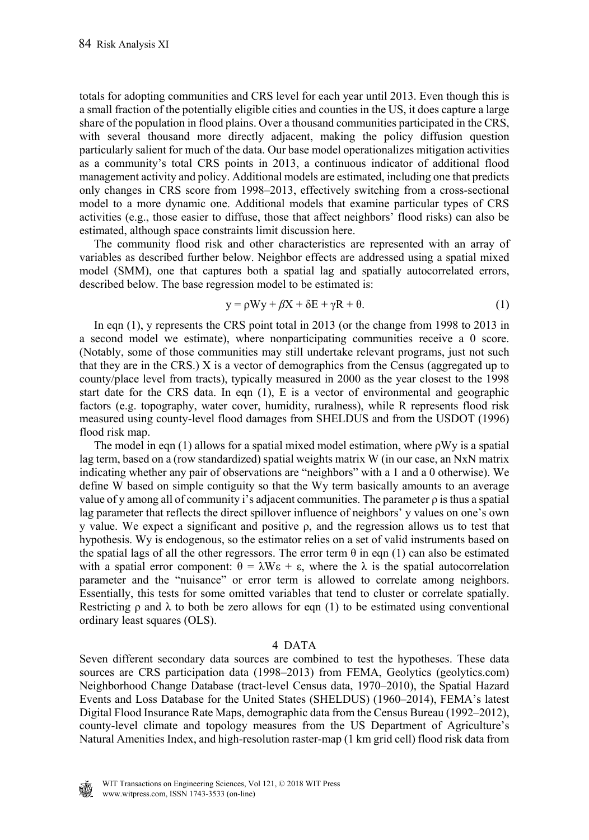totals for adopting communities and CRS level for each year until 2013. Even though this is a small fraction of the potentially eligible cities and counties in the US, it does capture a large share of the population in flood plains. Over a thousand communities participated in the CRS, with several thousand more directly adjacent, making the policy diffusion question particularly salient for much of the data. Our base model operationalizes mitigation activities as a community's total CRS points in 2013, a continuous indicator of additional flood management activity and policy. Additional models are estimated, including one that predicts only changes in CRS score from 1998–2013, effectively switching from a cross-sectional model to a more dynamic one. Additional models that examine particular types of CRS activities (e.g., those easier to diffuse, those that affect neighbors' flood risks) can also be estimated, although space constraints limit discussion here.

 The community flood risk and other characteristics are represented with an array of variables as described further below. Neighbor effects are addressed using a spatial mixed model (SMM), one that captures both a spatial lag and spatially autocorrelated errors, described below. The base regression model to be estimated is:

$$
y = \rho Wy + \beta X + \delta E + \gamma R + \theta. \tag{1}
$$

 In eqn (1), y represents the CRS point total in 2013 (or the change from 1998 to 2013 in a second model we estimate), where nonparticipating communities receive a 0 score. (Notably, some of those communities may still undertake relevant programs, just not such that they are in the CRS.) X is a vector of demographics from the Census (aggregated up to county/place level from tracts), typically measured in 2000 as the year closest to the 1998 start date for the CRS data. In eqn (1), E is a vector of environmental and geographic factors (e.g. topography, water cover, humidity, ruralness), while R represents flood risk measured using county-level flood damages from SHELDUS and from the USDOT (1996) flood risk map.

The model in eqn  $(1)$  allows for a spatial mixed model estimation, where  $\rho Wy$  is a spatial lag term, based on a (row standardized) spatial weights matrix W (in our case, an NxN matrix indicating whether any pair of observations are "neighbors" with a 1 and a 0 otherwise). We define W based on simple contiguity so that the Wy term basically amounts to an average value of y among all of community i's adjacent communities. The parameter  $\rho$  is thus a spatial lag parameter that reflects the direct spillover influence of neighbors' y values on one's own y value. We expect a significant and positive ρ, and the regression allows us to test that hypothesis. Wy is endogenous, so the estimator relies on a set of valid instruments based on the spatial lags of all the other regressors. The error term  $\theta$  in eqn (1) can also be estimated with a spatial error component:  $\theta = \lambda W \varepsilon + \varepsilon$ , where the  $\lambda$  is the spatial autocorrelation parameter and the "nuisance" or error term is allowed to correlate among neighbors. Essentially, this tests for some omitted variables that tend to cluster or correlate spatially. Restricting  $\rho$  and  $\lambda$  to both be zero allows for eqn (1) to be estimated using conventional ordinary least squares (OLS).

### 4 DATA

Seven different secondary data sources are combined to test the hypotheses. These data sources are CRS participation data (1998–2013) from FEMA, Geolytics (geolytics.com) Neighborhood Change Database (tract-level Census data, 1970–2010), the Spatial Hazard Events and Loss Database for the United States (SHELDUS) (1960–2014), FEMA's latest Digital Flood Insurance Rate Maps, demographic data from the Census Bureau (1992–2012), county-level climate and topology measures from the US Department of Agriculture's Natural Amenities Index, and high-resolution raster-map (1 km grid cell) flood risk data from

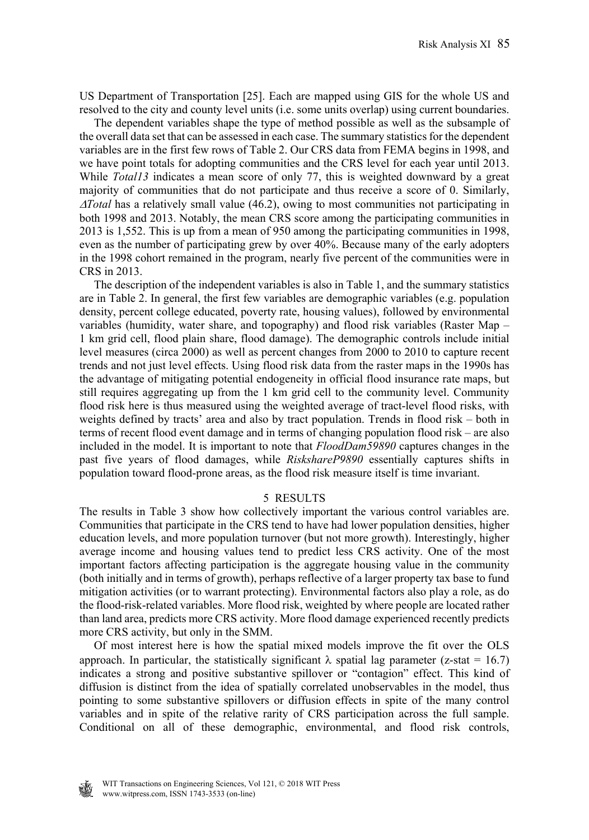US Department of Transportation [25]. Each are mapped using GIS for the whole US and resolved to the city and county level units (i.e. some units overlap) using current boundaries.

 The dependent variables shape the type of method possible as well as the subsample of the overall data set that can be assessed in each case. The summary statistics for the dependent variables are in the first few rows of Table 2. Our CRS data from FEMA begins in 1998, and we have point totals for adopting communities and the CRS level for each year until 2013. While *Total13* indicates a mean score of only 77, this is weighted downward by a great majority of communities that do not participate and thus receive a score of 0. Similarly, *Total* has a relatively small value (46.2), owing to most communities not participating in both 1998 and 2013. Notably, the mean CRS score among the participating communities in 2013 is 1,552. This is up from a mean of 950 among the participating communities in 1998, even as the number of participating grew by over 40%. Because many of the early adopters in the 1998 cohort remained in the program, nearly five percent of the communities were in CRS in 2013.

 The description of the independent variables is also in Table 1, and the summary statistics are in Table 2. In general, the first few variables are demographic variables (e.g. population density, percent college educated, poverty rate, housing values), followed by environmental variables (humidity, water share, and topography) and flood risk variables (Raster Map – 1 km grid cell, flood plain share, flood damage). The demographic controls include initial level measures (circa 2000) as well as percent changes from 2000 to 2010 to capture recent trends and not just level effects. Using flood risk data from the raster maps in the 1990s has the advantage of mitigating potential endogeneity in official flood insurance rate maps, but still requires aggregating up from the 1 km grid cell to the community level. Community flood risk here is thus measured using the weighted average of tract-level flood risks, with weights defined by tracts' area and also by tract population. Trends in flood risk – both in terms of recent flood event damage and in terms of changing population flood risk – are also included in the model. It is important to note that *FloodDam59890* captures changes in the past five years of flood damages, while *RiskshareP9890* essentially captures shifts in population toward flood-prone areas, as the flood risk measure itself is time invariant.

#### 5 RESULTS

The results in Table 3 show how collectively important the various control variables are. Communities that participate in the CRS tend to have had lower population densities, higher education levels, and more population turnover (but not more growth). Interestingly, higher average income and housing values tend to predict less CRS activity. One of the most important factors affecting participation is the aggregate housing value in the community (both initially and in terms of growth), perhaps reflective of a larger property tax base to fund mitigation activities (or to warrant protecting). Environmental factors also play a role, as do the flood-risk-related variables. More flood risk, weighted by where people are located rather than land area, predicts more CRS activity. More flood damage experienced recently predicts more CRS activity, but only in the SMM.

 Of most interest here is how the spatial mixed models improve the fit over the OLS approach. In particular, the statistically significant  $\lambda$  spatial lag parameter (z-stat = 16.7) indicates a strong and positive substantive spillover or "contagion" effect. This kind of diffusion is distinct from the idea of spatially correlated unobservables in the model, thus pointing to some substantive spillovers or diffusion effects in spite of the many control variables and in spite of the relative rarity of CRS participation across the full sample. Conditional on all of these demographic, environmental, and flood risk controls,

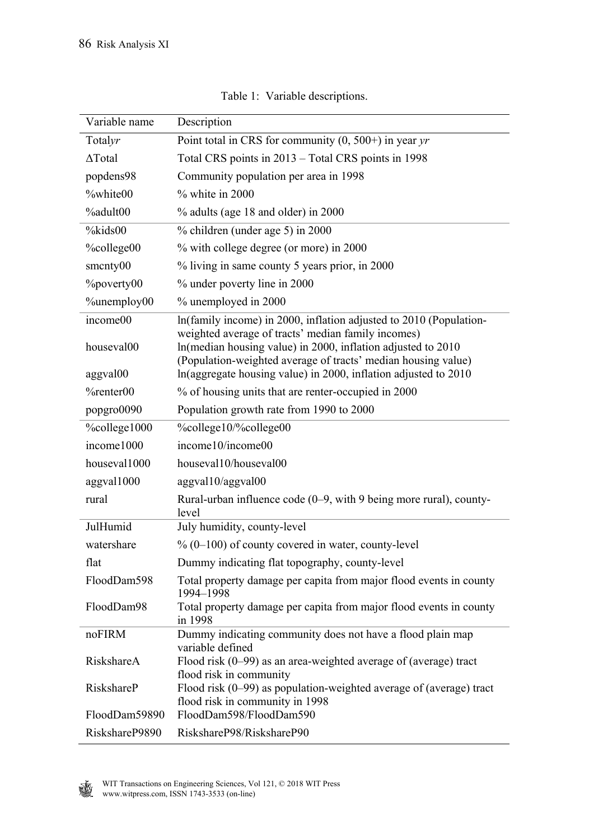| Variable name     | Description                                                                                                                                                                         |  |  |
|-------------------|-------------------------------------------------------------------------------------------------------------------------------------------------------------------------------------|--|--|
| Totalyr           | Point total in CRS for community $(0, 500+)$ in year yr                                                                                                                             |  |  |
| $\Delta$ Total    | Total CRS points in 2013 – Total CRS points in 1998                                                                                                                                 |  |  |
| popdens98         | Community population per area in 1998                                                                                                                                               |  |  |
| %white00          | $%$ white in 2000                                                                                                                                                                   |  |  |
| <b>%adult00</b>   | % adults (age 18 and older) in 2000                                                                                                                                                 |  |  |
| %kids00           | % children (under age 5) in 2000                                                                                                                                                    |  |  |
| %college00        | % with college degree (or more) in 2000                                                                                                                                             |  |  |
| smcnty00          | % living in same county 5 years prior, in 2000                                                                                                                                      |  |  |
| <b>%poverty00</b> | % under poverty line in 2000                                                                                                                                                        |  |  |
| %unemploy00       | % unemployed in 2000                                                                                                                                                                |  |  |
| income00          | In(family income) in 2000, inflation adjusted to 2010 (Population-                                                                                                                  |  |  |
| houseval00        | weighted average of tracts' median family incomes)<br>In(median housing value) in 2000, inflation adjusted to 2010<br>(Population-weighted average of tracts' median housing value) |  |  |
| aggval00          | In(aggregate housing value) in 2000, inflation adjusted to 2010                                                                                                                     |  |  |
| $\%$ renter $00$  | % of housing units that are renter-occupied in 2000                                                                                                                                 |  |  |
| popgro0090        | Population growth rate from 1990 to 2000                                                                                                                                            |  |  |
| %college1000      | %college10/%college00                                                                                                                                                               |  |  |
| income1000        | income10/income00                                                                                                                                                                   |  |  |
| houseval1000      | houseval10/houseval00                                                                                                                                                               |  |  |
| aggval1000        | aggval10/aggval00                                                                                                                                                                   |  |  |
| rural             | Rural-urban influence code $(0-9)$ , with 9 being more rural), county-<br>level                                                                                                     |  |  |
| JulHumid          | July humidity, county-level                                                                                                                                                         |  |  |
| watershare        | $\%$ (0–100) of county covered in water, county-level                                                                                                                               |  |  |
| flat              | Dummy indicating flat topography, county-level                                                                                                                                      |  |  |
| FloodDam598       | Total property damage per capita from major flood events in county<br>1994-1998                                                                                                     |  |  |
| FloodDam98        | Total property damage per capita from major flood events in county<br>in 1998                                                                                                       |  |  |
| noFIRM            | Dummy indicating community does not have a flood plain map                                                                                                                          |  |  |
| RiskshareA        | variable defined<br>Flood risk $(0-99)$ as an area-weighted average of (average) tract<br>flood risk in community                                                                   |  |  |
| RiskshareP        | Flood risk $(0-99)$ as population-weighted average of (average) tract<br>flood risk in community in 1998                                                                            |  |  |
| FloodDam59890     | FloodDam598/FloodDam590                                                                                                                                                             |  |  |
| RiskshareP9890    | RiskshareP98/RiskshareP90                                                                                                                                                           |  |  |

Table 1: Variable descriptions.

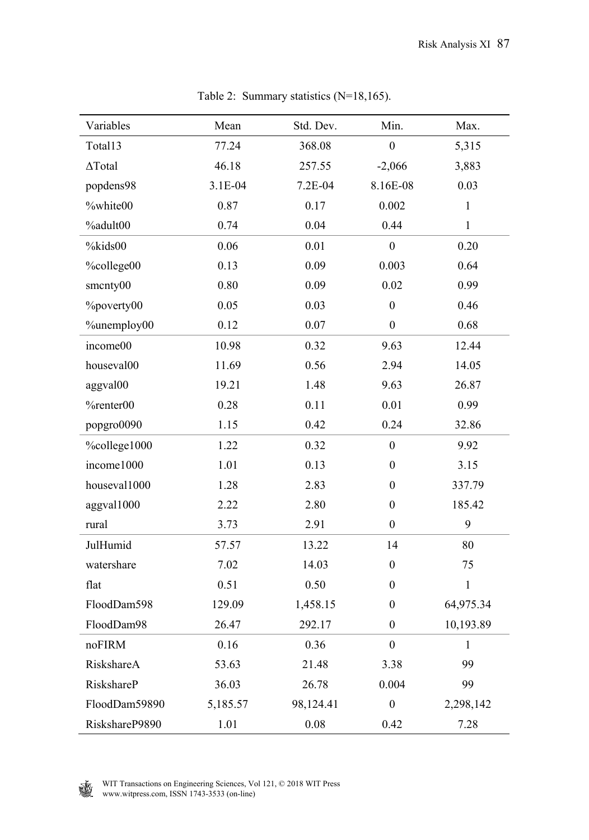| Variables         | Mean     | Std. Dev. | Min.             | Max.         |
|-------------------|----------|-----------|------------------|--------------|
| Total13           | 77.24    | 368.08    | $\boldsymbol{0}$ | 5,315        |
| $\Delta$ Total    | 46.18    | 257.55    | $-2,066$         | 3,883        |
| popdens98         | 3.1E-04  | 7.2E-04   | 8.16E-08         | 0.03         |
| %white00          | 0.87     | 0.17      | 0.002            | $\mathbf{1}$ |
| $%$ adult $00$    | 0.74     | 0.04      | 0.44             | $\mathbf{1}$ |
| %kids00           | 0.06     | 0.01      | $\boldsymbol{0}$ | 0.20         |
| %college00        | 0.13     | 0.09      | 0.003            | 0.64         |
| smcnty00          | $0.80\,$ | 0.09      | 0.02             | 0.99         |
| <b>%poverty00</b> | 0.05     | 0.03      | $\boldsymbol{0}$ | 0.46         |
| %unemploy00       | 0.12     | 0.07      | $\boldsymbol{0}$ | 0.68         |
| income00          | 10.98    | 0.32      | 9.63             | 12.44        |
| houseval00        | 11.69    | 0.56      | 2.94             | 14.05        |
| aggval00          | 19.21    | 1.48      | 9.63             | 26.87        |
| %renter00         | 0.28     | 0.11      | 0.01             | 0.99         |
| popgro0090        | 1.15     | 0.42      | 0.24             | 32.86        |
| %college1000      | 1.22     | 0.32      | $\boldsymbol{0}$ | 9.92         |
| income1000        | 1.01     | 0.13      | $\boldsymbol{0}$ | 3.15         |
| houseval1000      | 1.28     | 2.83      | $\boldsymbol{0}$ | 337.79       |
| aggval1000        | 2.22     | 2.80      | $\boldsymbol{0}$ | 185.42       |
| rural             | 3.73     | 2.91      | $\boldsymbol{0}$ | 9            |
| JulHumid          | 57.57    | 13.22     | 14               | 80           |
| watershare        | 7.02     | 14.03     | $\boldsymbol{0}$ | 75           |
| flat              | 0.51     | 0.50      | $\boldsymbol{0}$ | $\mathbf{1}$ |
| FloodDam598       | 129.09   | 1,458.15  | $\boldsymbol{0}$ | 64,975.34    |
| FloodDam98        | 26.47    | 292.17    | $\boldsymbol{0}$ | 10,193.89    |
| noFIRM            | 0.16     | 0.36      | $\boldsymbol{0}$ | 1            |
| RiskshareA        | 53.63    | 21.48     | 3.38             | 99           |
| RiskshareP        | 36.03    | 26.78     | 0.004            | 99           |
| FloodDam59890     | 5,185.57 | 98,124.41 | $\boldsymbol{0}$ | 2,298,142    |
| RiskshareP9890    | 1.01     | 0.08      | 0.42             | 7.28         |

Table 2: Summary statistics (N=18,165).

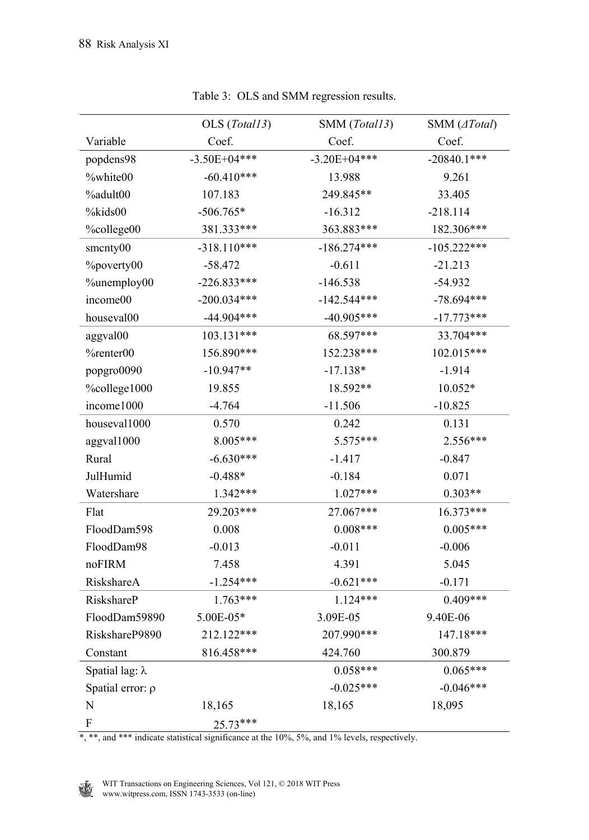|                        | OLS (Total13)  | SMM (Total13)    | SMM (ATotal)  |
|------------------------|----------------|------------------|---------------|
| Variable               | Coef.          | Coef.            | Coef.         |
| popdens98              | $-3.50E+04***$ | $-3.20E + 04***$ | $-20840.1***$ |
| %white00               | $-60.410***$   | 13.988           | 9.261         |
| %adult00               | 107.183        | 249.845**        | 33.405        |
| %kids00                | $-506.765*$    | $-16.312$        | $-218.114$    |
| %college00             | 381.333***     | 363.883***       | 182.306***    |
| smcnty00               | $-318.110***$  | $-186.274***$    | $-105.222***$ |
| <b>%poverty00</b>      | $-58.472$      | $-0.611$         | $-21.213$     |
| %unemploy00            | $-226.833***$  | $-146.538$       | $-54.932$     |
| income00               | $-200.034***$  | $-142.544***$    | $-78.694***$  |
| houseval00             | $-44.904***$   | $-40.905***$     | $-17.773***$  |
| aggval00               | 103.131***     | 68.597***        | 33.704***     |
| %renter00              | 156.890***     | 152.238***       | 102.015***    |
| popgro0090             | $-10.947**$    | $-17.138*$       | $-1.914$      |
| %college1000           | 19.855         | 18.592**         | $10.052*$     |
| income1000             | $-4.764$       | $-11.506$        | $-10.825$     |
| houseval1000           | 0.570          | 0.242            | 0.131         |
| aggval1000             | 8.005***       | 5.575***         | 2.556***      |
| Rural                  | $-6.630***$    | $-1.417$         | $-0.847$      |
| JulHumid               | $-0.488*$      | $-0.184$         | 0.071         |
| Watershare             | 1.342***       | $1.027***$       | $0.303**$     |
| Flat                   | 29.203***      | 27.067***        | 16.373***     |
| FloodDam598            | 0.008          | $0.008***$       | $0.005***$    |
| FloodDam98             | $-0.013$       | $-0.011$         | $-0.006$      |
| noFIRM                 | 7.458          | 4.391            | 5.045         |
| RiskshareA             | $-1.254***$    | $-0.621***$      | $-0.171$      |
| RiskshareP             | $1.763***$     | $1.124***$       | $0.409***$    |
| FloodDam59890          | 5.00E-05*      | 3.09E-05         | 9.40E-06      |
| RiskshareP9890         | 212.122***     | 207.990***       | 147.18***     |
| Constant               | 816.458***     | 424.760          | 300.879       |
| Spatial lag: $\lambda$ |                | $0.058***$       | $0.065***$    |
| Spatial error: p       |                | $-0.025***$      | $-0.046***$   |
| N                      | 18,165         | 18,165           | 18,095        |
| F                      | $25.73***$     |                  |               |

Table 3: OLS and SMM regression results.

\*, \*\*, and \*\*\* indicate statistical significance at the 10%, 5%, and 1% levels, respectively.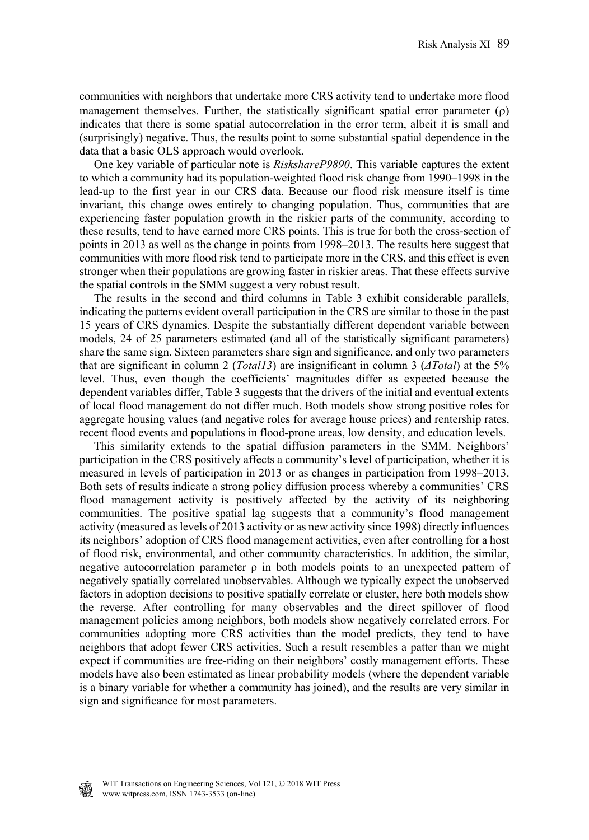communities with neighbors that undertake more CRS activity tend to undertake more flood management themselves. Further, the statistically significant spatial error parameter  $(\rho)$ indicates that there is some spatial autocorrelation in the error term, albeit it is small and (surprisingly) negative. Thus, the results point to some substantial spatial dependence in the data that a basic OLS approach would overlook.

 One key variable of particular note is *RiskshareP9890*. This variable captures the extent to which a community had its population-weighted flood risk change from 1990–1998 in the lead-up to the first year in our CRS data. Because our flood risk measure itself is time invariant, this change owes entirely to changing population. Thus, communities that are experiencing faster population growth in the riskier parts of the community, according to these results, tend to have earned more CRS points. This is true for both the cross-section of points in 2013 as well as the change in points from 1998–2013. The results here suggest that communities with more flood risk tend to participate more in the CRS, and this effect is even stronger when their populations are growing faster in riskier areas. That these effects survive the spatial controls in the SMM suggest a very robust result.

 The results in the second and third columns in Table 3 exhibit considerable parallels, indicating the patterns evident overall participation in the CRS are similar to those in the past 15 years of CRS dynamics. Despite the substantially different dependent variable between models, 24 of 25 parameters estimated (and all of the statistically significant parameters) share the same sign. Sixteen parameters share sign and significance, and only two parameters that are significant in column 2 (*Total13*) are insignificant in column 3 (*ΔTotal*) at the 5% level. Thus, even though the coefficients' magnitudes differ as expected because the dependent variables differ, Table 3 suggests that the drivers of the initial and eventual extents of local flood management do not differ much. Both models show strong positive roles for aggregate housing values (and negative roles for average house prices) and rentership rates, recent flood events and populations in flood-prone areas, low density, and education levels.

 This similarity extends to the spatial diffusion parameters in the SMM. Neighbors' participation in the CRS positively affects a community's level of participation, whether it is measured in levels of participation in 2013 or as changes in participation from 1998–2013. Both sets of results indicate a strong policy diffusion process whereby a communities' CRS flood management activity is positively affected by the activity of its neighboring communities. The positive spatial lag suggests that a community's flood management activity (measured as levels of 2013 activity or as new activity since 1998) directly influences its neighbors' adoption of CRS flood management activities, even after controlling for a host of flood risk, environmental, and other community characteristics. In addition, the similar, negative autocorrelation parameter  $\rho$  in both models points to an unexpected pattern of negatively spatially correlated unobservables. Although we typically expect the unobserved factors in adoption decisions to positive spatially correlate or cluster, here both models show the reverse. After controlling for many observables and the direct spillover of flood management policies among neighbors, both models show negatively correlated errors. For communities adopting more CRS activities than the model predicts, they tend to have neighbors that adopt fewer CRS activities. Such a result resembles a patter than we might expect if communities are free-riding on their neighbors' costly management efforts. These models have also been estimated as linear probability models (where the dependent variable is a binary variable for whether a community has joined), and the results are very similar in sign and significance for most parameters.

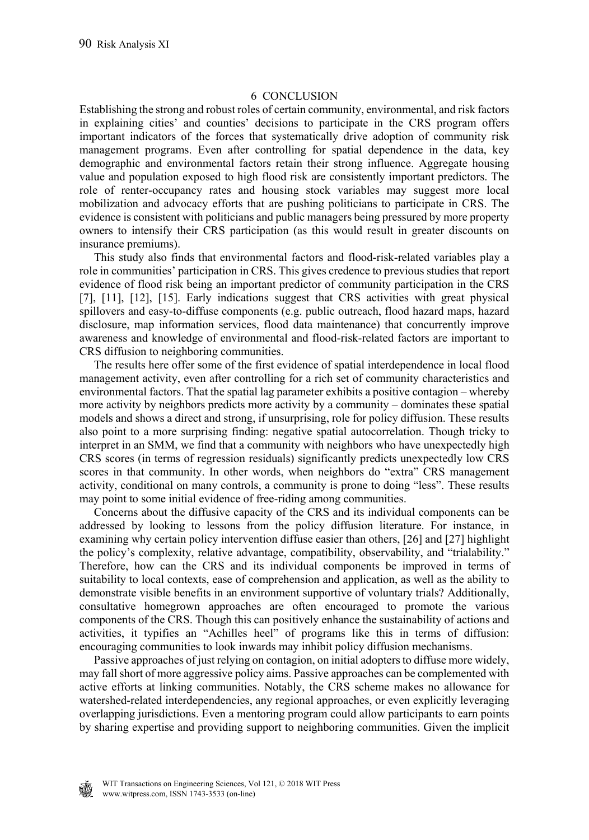## 6 CONCLUSION

Establishing the strong and robust roles of certain community, environmental, and risk factors in explaining cities' and counties' decisions to participate in the CRS program offers important indicators of the forces that systematically drive adoption of community risk management programs. Even after controlling for spatial dependence in the data, key demographic and environmental factors retain their strong influence. Aggregate housing value and population exposed to high flood risk are consistently important predictors. The role of renter-occupancy rates and housing stock variables may suggest more local mobilization and advocacy efforts that are pushing politicians to participate in CRS. The evidence is consistent with politicians and public managers being pressured by more property owners to intensify their CRS participation (as this would result in greater discounts on insurance premiums).

 This study also finds that environmental factors and flood-risk-related variables play a role in communities' participation in CRS. This gives credence to previous studies that report evidence of flood risk being an important predictor of community participation in the CRS [7], [11], [12], [15]. Early indications suggest that CRS activities with great physical spillovers and easy-to-diffuse components (e.g. public outreach, flood hazard maps, hazard disclosure, map information services, flood data maintenance) that concurrently improve awareness and knowledge of environmental and flood-risk-related factors are important to CRS diffusion to neighboring communities.

 The results here offer some of the first evidence of spatial interdependence in local flood management activity, even after controlling for a rich set of community characteristics and environmental factors. That the spatial lag parameter exhibits a positive contagion – whereby more activity by neighbors predicts more activity by a community – dominates these spatial models and shows a direct and strong, if unsurprising, role for policy diffusion. These results also point to a more surprising finding: negative spatial autocorrelation. Though tricky to interpret in an SMM, we find that a community with neighbors who have unexpectedly high CRS scores (in terms of regression residuals) significantly predicts unexpectedly low CRS scores in that community. In other words, when neighbors do "extra" CRS management activity, conditional on many controls, a community is prone to doing "less". These results may point to some initial evidence of free-riding among communities.

 Concerns about the diffusive capacity of the CRS and its individual components can be addressed by looking to lessons from the policy diffusion literature. For instance, in examining why certain policy intervention diffuse easier than others, [26] and [27] highlight the policy's complexity, relative advantage, compatibility, observability, and "trialability." Therefore, how can the CRS and its individual components be improved in terms of suitability to local contexts, ease of comprehension and application, as well as the ability to demonstrate visible benefits in an environment supportive of voluntary trials? Additionally, consultative homegrown approaches are often encouraged to promote the various components of the CRS. Though this can positively enhance the sustainability of actions and activities, it typifies an "Achilles heel" of programs like this in terms of diffusion: encouraging communities to look inwards may inhibit policy diffusion mechanisms.

 Passive approaches of just relying on contagion, on initial adopters to diffuse more widely, may fall short of more aggressive policy aims. Passive approaches can be complemented with active efforts at linking communities. Notably, the CRS scheme makes no allowance for watershed-related interdependencies, any regional approaches, or even explicitly leveraging overlapping jurisdictions. Even a mentoring program could allow participants to earn points by sharing expertise and providing support to neighboring communities. Given the implicit

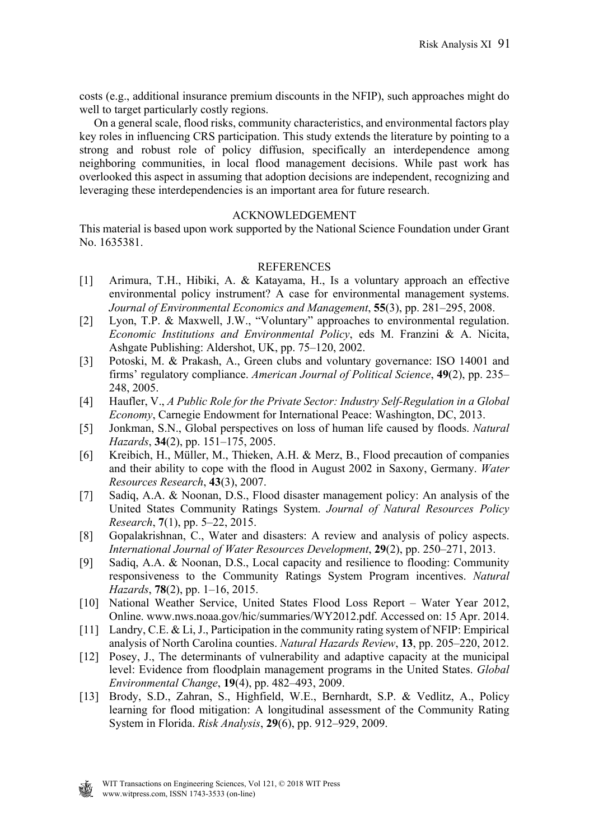costs (e.g., additional insurance premium discounts in the NFIP), such approaches might do well to target particularly costly regions.

 On a general scale, flood risks, community characteristics, and environmental factors play key roles in influencing CRS participation. This study extends the literature by pointing to a strong and robust role of policy diffusion, specifically an interdependence among neighboring communities, in local flood management decisions. While past work has overlooked this aspect in assuming that adoption decisions are independent, recognizing and leveraging these interdependencies is an important area for future research.

## ACKNOWLEDGEMENT

This material is based upon work supported by the National Science Foundation under Grant No. 1635381.

## REFERENCES

- [1] Arimura, T.H., Hibiki, A. & Katayama, H., Is a voluntary approach an effective environmental policy instrument? A case for environmental management systems. *Journal of Environmental Economics and Management*, **55**(3), pp. 281–295, 2008.
- [2] Lyon, T.P. & Maxwell, J.W., "Voluntary" approaches to environmental regulation. *Economic Institutions and Environmental Policy*, eds M. Franzini & A. Nicita, Ashgate Publishing: Aldershot, UK, pp. 75–120, 2002.
- [3] Potoski, M. & Prakash, A., Green clubs and voluntary governance: ISO 14001 and firms' regulatory compliance. *American Journal of Political Science*, **49**(2), pp. 235– 248, 2005.
- [4] Haufler, V., *A Public Role for the Private Sector: Industry Self-Regulation in a Global Economy*, Carnegie Endowment for International Peace: Washington, DC, 2013.
- [5] Jonkman, S.N., Global perspectives on loss of human life caused by floods. *Natural Hazards*, **34**(2), pp. 151–175, 2005.
- [6] Kreibich, H., Müller, M., Thieken, A.H. & Merz, B., Flood precaution of companies and their ability to cope with the flood in August 2002 in Saxony, Germany. *Water Resources Research*, **43**(3), 2007.
- [7] Sadiq, A.A. & Noonan, D.S., Flood disaster management policy: An analysis of the United States Community Ratings System. *Journal of Natural Resources Policy Research*, **7**(1), pp. 5–22, 2015.
- [8] Gopalakrishnan, C., Water and disasters: A review and analysis of policy aspects. *International Journal of Water Resources Development*, **29**(2), pp. 250–271, 2013.
- [9] Sadiq, A.A. & Noonan, D.S., Local capacity and resilience to flooding: Community responsiveness to the Community Ratings System Program incentives. *Natural Hazards*, **78**(2), pp. 1–16, 2015.
- [10] National Weather Service, United States Flood Loss Report Water Year 2012, Online. www.nws.noaa.gov/hic/summaries/WY2012.pdf. Accessed on: 15 Apr. 2014.
- [11] Landry, C.E. & Li, J., Participation in the community rating system of NFIP: Empirical analysis of North Carolina counties. *Natural Hazards Review*, **13**, pp. 205–220, 2012.
- [12] Posey, J., The determinants of vulnerability and adaptive capacity at the municipal level: Evidence from floodplain management programs in the United States. *Global Environmental Change*, **19**(4), pp. 482–493, 2009.
- [13] Brody, S.D., Zahran, S., Highfield, W.E., Bernhardt, S.P. & Vedlitz, A., Policy learning for flood mitigation: A longitudinal assessment of the Community Rating System in Florida. *Risk Analysis*, **29**(6), pp. 912–929, 2009.